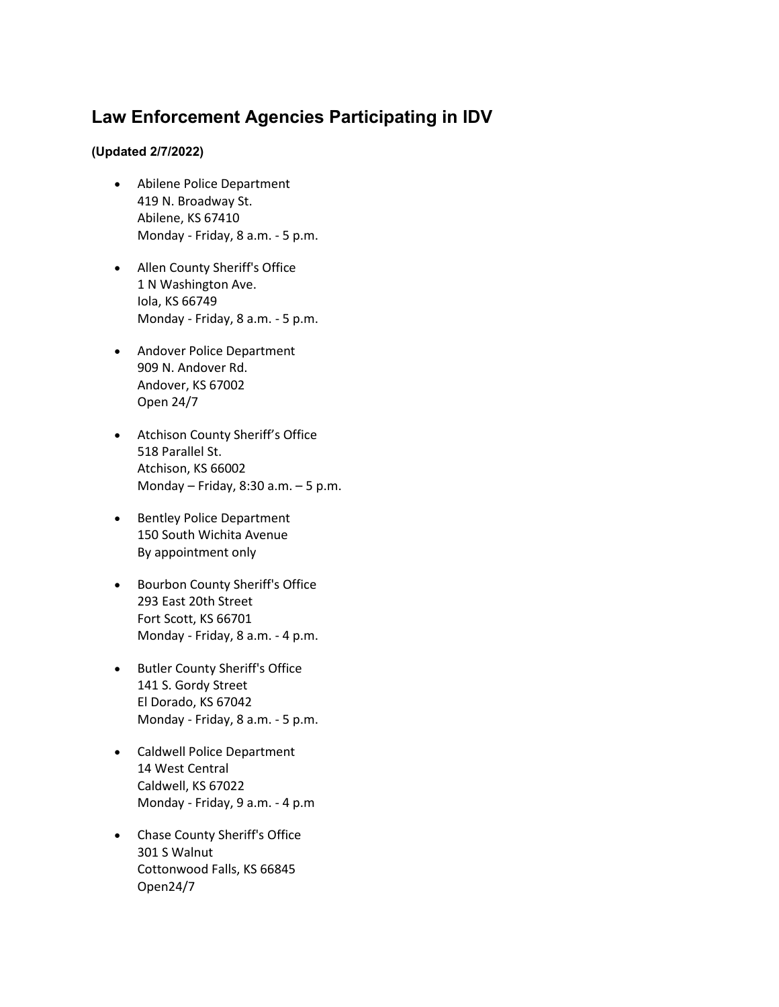## **Law Enforcement Agencies Participating in IDV**

## **(Updated 2/7/2022)**

- Abilene Police Department 419 N. Broadway St. Abilene, KS 67410 Monday - Friday, 8 a.m. - 5 p.m.
- Allen County Sheriff's Office 1 N Washington Ave. Iola, KS 66749 Monday - Friday, 8 a.m. - 5 p.m.
- Andover Police Department 909 N. Andover Rd. Andover, KS 67002 Open 24/7
- Atchison County Sheriff's Office 518 Parallel St. Atchison, KS 66002 Monday – Friday, 8:30 a.m. – 5 p.m.
- Bentley Police Department 150 South Wichita Avenue By appointment only
- Bourbon County Sheriff's Office 293 East 20th Street Fort Scott, KS 66701 Monday - Friday, 8 a.m. - 4 p.m.
- Butler County Sheriff's Office 141 S. Gordy Street El Dorado, KS 67042 Monday - Friday, 8 a.m. - 5 p.m.
- Caldwell Police Department 14 West Central Caldwell, KS 67022 Monday - Friday, 9 a.m. - 4 p.m
- Chase County Sheriff's Office 301 S Walnut Cottonwood Falls, KS 66845 Open24/7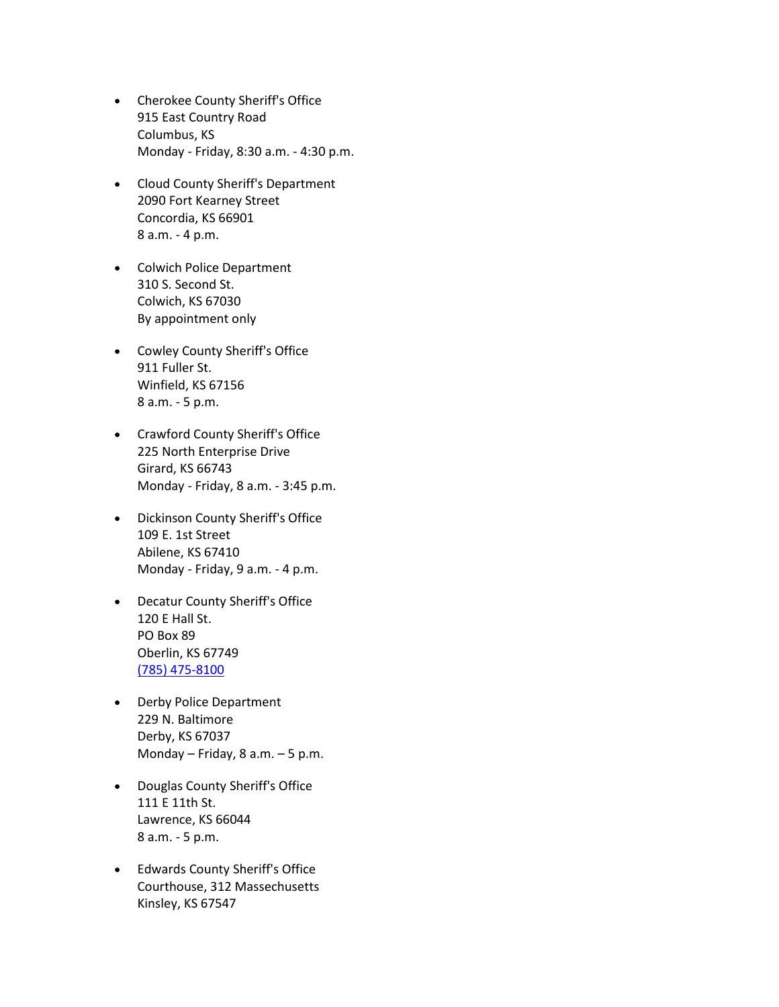- Cherokee County Sheriff's Office 915 East Country Road Columbus, KS Monday - Friday, 8:30 a.m. - 4:30 p.m.
- Cloud County Sheriff's Department 2090 Fort Kearney Street Concordia, KS 66901 8 a.m. - 4 p.m.
- Colwich Police Department 310 S. Second St. Colwich, KS 67030 By appointment only
- Cowley County Sheriff's Office 911 Fuller St. Winfield, KS 67156 8 a.m. - 5 p.m.
- Crawford County Sheriff's Office 225 North Enterprise Drive Girard, KS 66743 Monday - Friday, 8 a.m. - 3:45 p.m.
- Dickinson County Sheriff's Office 109 E. 1st Street Abilene, KS 67410 Monday - Friday, 9 a.m. - 4 p.m.
- Decatur County Sheriff's Office 120 E Hall St. PO Box 89 Oberlin, KS 67749 [\(785\) 475-8100](tel:(785)%20475-8100)
- Derby Police Department 229 N. Baltimore Derby, KS 67037 Monday – Friday, 8 a.m. – 5 p.m.
- Douglas County Sheriff's Office 111 E 11th St. Lawrence, KS 66044 8 a.m. - 5 p.m.
- Edwards County Sheriff's Office Courthouse, 312 Massechusetts Kinsley, KS 67547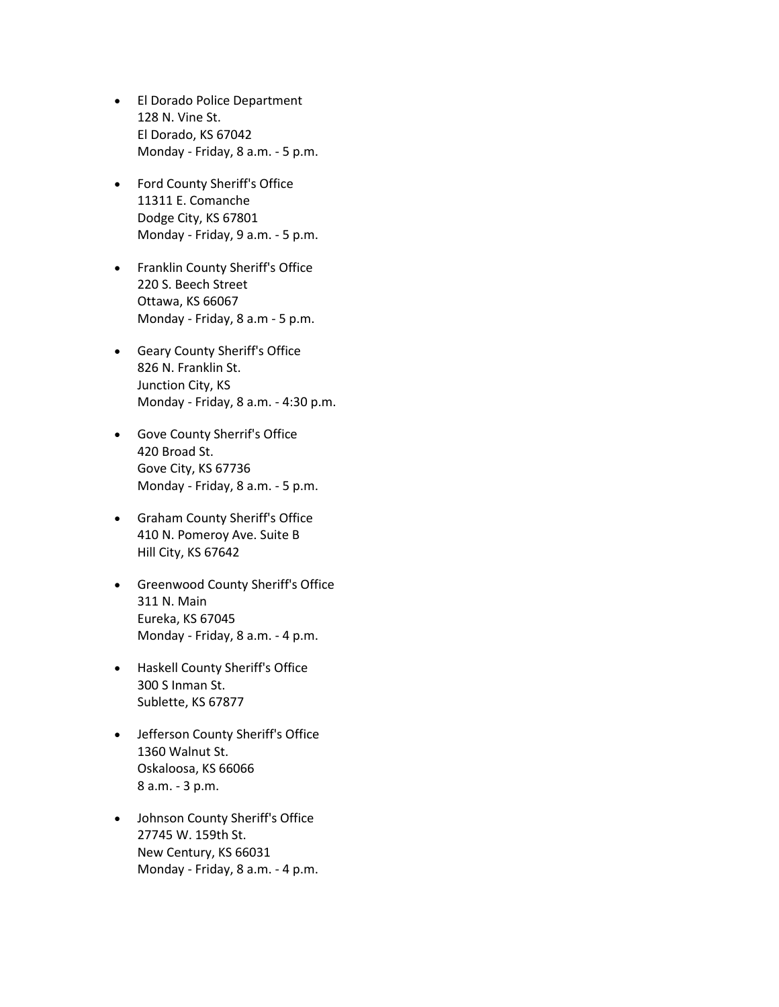- El Dorado Police Department 128 N. Vine St. El Dorado, KS 67042 Monday - Friday, 8 a.m. - 5 p.m.
- Ford County Sheriff's Office 11311 E. Comanche Dodge City, KS 67801 Monday - Friday, 9 a.m. - 5 p.m.
- Franklin County Sheriff's Office 220 S. Beech Street Ottawa, KS 66067 Monday - Friday, 8 a.m - 5 p.m.
- Geary County Sheriff's Office 826 N. Franklin St. Junction City, KS Monday - Friday, 8 a.m. - 4:30 p.m.
- Gove County Sherrif's Office 420 Broad St. Gove City, KS 67736 Monday - Friday, 8 a.m. - 5 p.m.
- Graham County Sheriff's Office 410 N. Pomeroy Ave. Suite B Hill City, KS 67642
- Greenwood County Sheriff's Office 311 N. Main Eureka, KS 67045 Monday - Friday, 8 a.m. - 4 p.m.
- Haskell County Sheriff's Office 300 S Inman St. Sublette, KS 67877
- Jefferson County Sheriff's Office 1360 Walnut St. Oskaloosa, KS 66066 8 a.m. - 3 p.m.
- Johnson County Sheriff's Office 27745 W. 159th St. New Century, KS 66031 Monday - Friday, 8 a.m. - 4 p.m.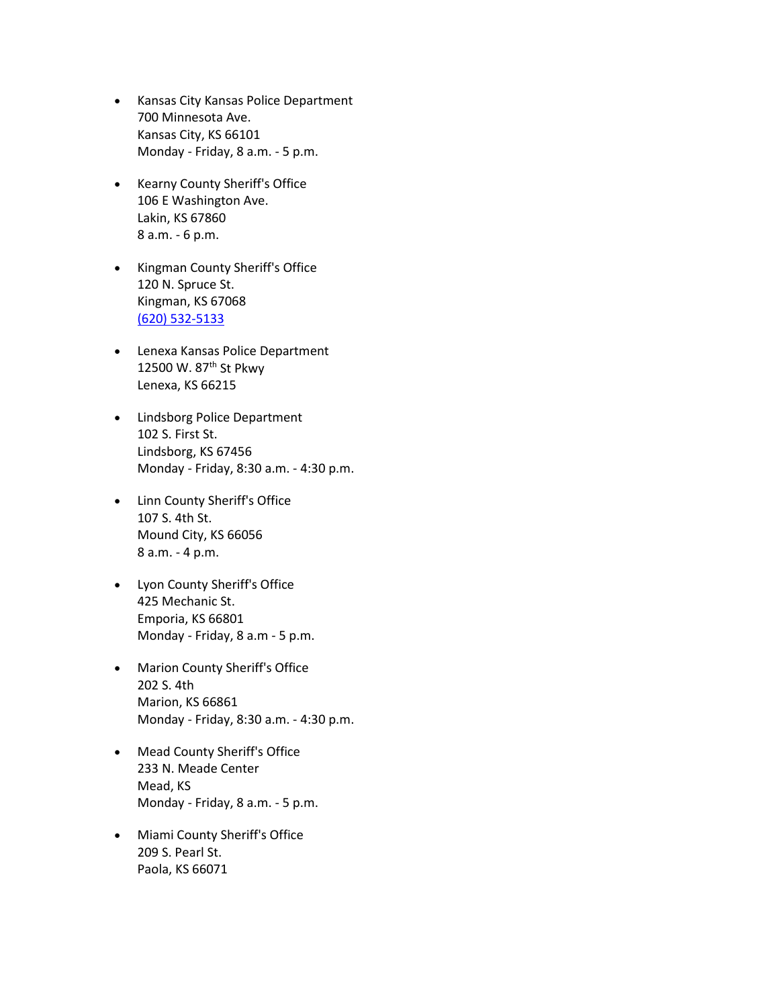- Kansas City Kansas Police Department 700 Minnesota Ave. Kansas City, KS 66101 Monday - Friday, 8 a.m. - 5 p.m.
- Kearny County Sheriff's Office 106 E Washington Ave. Lakin, KS 67860 8 a.m. - 6 p.m.
- Kingman County Sheriff's Office 120 N. Spruce St. Kingman, KS 67068 [\(620\) 532-5133](tel:(620)%20532-5133)
- Lenexa Kansas Police Department 12500 W. 87<sup>th</sup> St Pkwy Lenexa, KS 66215
- Lindsborg Police Department 102 S. First St. Lindsborg, KS 67456 Monday - Friday, 8:30 a.m. - 4:30 p.m.
- Linn County Sheriff's Office 107 S. 4th St. Mound City, KS 66056 8 a.m. - 4 p.m.
- Lyon County Sheriff's Office 425 Mechanic St. Emporia, KS 66801 Monday - Friday, 8 a.m - 5 p.m.
- Marion County Sheriff's Office 202 S. 4th Marion, KS 66861 Monday - Friday, 8:30 a.m. - 4:30 p.m.
- Mead County Sheriff's Office 233 N. Meade Center Mead, KS Monday - Friday, 8 a.m. - 5 p.m.
- Miami County Sheriff's Office 209 S. Pearl St. Paola, KS 66071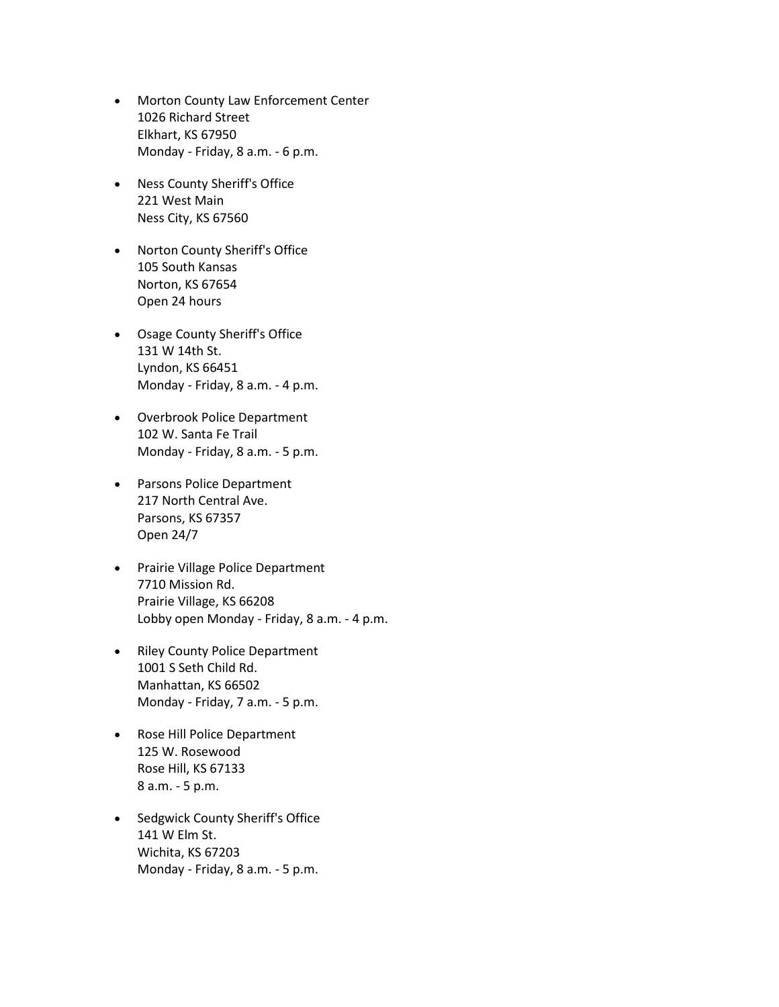- Morton County Law Enforcement Center 1026 Richard Street Elkhart, KS 67950 Monday - Friday, 8 a.m. - 6 p.m.
- Ness County Sheriff's Office 221 West Main Ness City, KS 67560
- Norton County Sheriff's Office 105 South Kansas Norton, KS 67654 Open 24 hours
- Osage County Sheriff's Office 131 W 14th St. Lyndon, KS 66451 Monday - Friday, 8 a.m. - 4 p.m.
- Overbrook Police Department 102 W. Santa Fe Trail Monday - Friday, 8 a.m. - 5 p.m.
- Parsons Police Department 217 North Central Ave. Parsons, KS 67357 Open 24/7
- Prairie Village Police Department 7710 Mission Rd. Prairie Village, KS 66208 Lobby open Monday - Friday, 8 a.m. - 4 p.m.
- Riley County Police Department 1001 S Seth Child Rd. Manhattan, KS 66502 Monday - Friday, 7 a.m. - 5 p.m.
- Rose Hill Police Department 125 W. Rosewood Rose Hill, KS 67133 8 a.m. - 5 p.m.
- Sedgwick County Sheriff's Office 141 W Elm St. Wichita, KS 67203 Monday - Friday, 8 a.m. - 5 p.m.